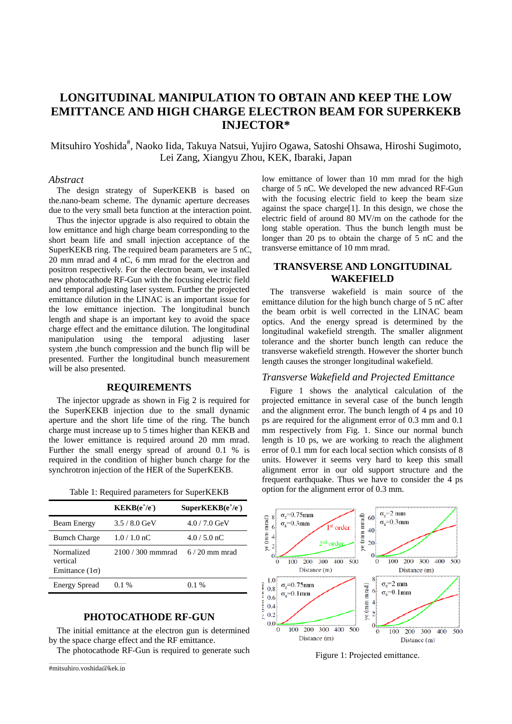# **LONGITUDINAL MANIPULATION TO OBTAIN AND KEEP THE LOW EMITTANCE AND HIGH CHARGE ELECTRON BEAM FOR SUPERKEKB INJECTOR\***

Mitsuhiro Yoshida<sup>#</sup>, Naoko Iida, Takuya Natsui, Yujiro Ogawa, Satoshi Ohsawa, Hiroshi Sugimoto, Lei Zang, Xiangyu Zhou, KEK, Ibaraki, Japan

#### *Abstract*

The design strategy of SuperKEKB is based on the.nano-beam scheme. The dynamic aperture decreases due to the very small beta function at the interaction point.

Thus the injector upgrade is also required to obtain the low emittance and high charge beam corresponding to the short beam life and small injection acceptance of the SuperKEKB ring. The required beam parameters are 5 nC, 20 mm mrad and 4 nC, 6 mm mrad for the electron and positron respectively. For the electron beam, we installed new photocathode RF-Gun with the focusing electric field and temporal adjusting laser system. Further the projected emittance dilution in the LINAC is an important issue for the low emittance injection. The longitudinal bunch length and shape is an important key to avoid the space charge effect and the emittance dilution. The longitudinal manipulation using the temporal adjusting laser system ,the bunch compression and the bunch flip will be presented. Further the longitudinal bunch measurement will be also presented.

### **REQUIREMENTS**

The injector upgrade as shown in Fig 2 is required for the SuperKEKB injection due to the small dynamic aperture and the short life time of the ring. The bunch charge must increase up to 5 times higher than KEKB and the lower emittance is required around 20 mm mrad. Further the small energy spread of around 0.1 % is required in the condition of higher bunch charge for the synchrotron injection of the HER of the SuperKEKB.

|  |  | Table 1: Required parameters for SuperKEKB |  |  |
|--|--|--------------------------------------------|--|--|
|--|--|--------------------------------------------|--|--|

|                                                 | $KEKB(e^+/e^-)$   | $SuperKEKB(e^+/e^-)$ |
|-------------------------------------------------|-------------------|----------------------|
| <b>Beam Energy</b>                              | $3.5/8.0$ GeV     | $4.0 / 7.0$ GeV      |
| <b>Bumch Charge</b>                             | $1.0 / 1.0$ nC    | $4.0/5.0 \text{ nC}$ |
| Normalized<br>vertical<br>Emittance $(1\sigma)$ | 2100 / 300 mmmrad | $6/20$ mm mrad       |
| <b>Energy Spread</b>                            | $0.1\%$           | $0.1\%$              |

# **PHOTOCATHODE RF-GUN**

The initial emittance at the electron gun is determined by the space charge effect and the RF emittance.

The photocathode RF-Gun is required to generate such

low emittance of lower than 10 mm mrad for the high charge of 5 nC. We developed the new advanced RF-Gun with the focusing electric field to keep the beam size against the space charge[1]. In this design, we chose the electric field of around 80 MV/m on the cathode for the long stable operation. Thus the bunch length must be longer than 20 ps to obtain the charge of 5 nC and the transverse emittance of 10 mm mrad.

## **TRANSVERSE AND LONGITUDINAL WAKEFIELD**

The transverse wakefield is main source of the emittance dilution for the high bunch charge of 5 nC after the beam orbit is well corrected in the LINAC beam optics. And the energy spread is determined by the longitudinal wakefield strength. The smaller alignment tolerance and the shorter bunch length can reduce the transverse wakefield strength. However the shorter bunch length causes the stronger longitudinal wakefield.

### *Transverse Wakefield and Projected Emittance*

Figure 1 shows the analytical calculation of the projected emittance in several case of the bunch length and the alignment error. The bunch length of 4 ps and 10 ps are required for the alignment error of 0.3 mm and 0.1 mm respectively from Fig. 1. Since our normal bunch length is 10 ps, we are working to reach the alighment error of 0.1 mm for each local section which consists of 8 units. However it seems very hard to keep this small alignment error in our old support structure and the frequent earthquake. Thus we have to consider the 4 ps option for the alignment error of 0.3 mm.



Figure 1: Projected emittance.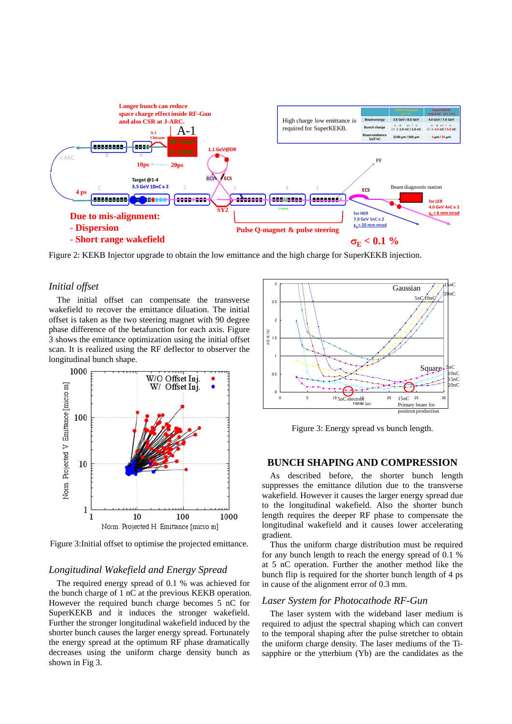

Figure 2: KEKB Injector upgrade to obtain the low emittance and the high charge for SuperKEKB injection.

### *Initial offset*

The initial offset can compensate the transverse wakefield to recover the emittance diluation. The initial offset is taken as the two steering magnet with 90 degree phase difference of the betafunction for each axis. Figure 3 shows the emittance optimization using the initial offset scan. It is realized using the RF deflector to observer the longitudinal bunch shape.



Figure 3:Initial offset to optimise the projected emittance.

### *Longitudinal Wakefield and Energy Spread*

The required energy spread of 0.1 % was achieved for the bunch charge of 1 nC at the previous KEKB operation. However the required bunch charge becomes 5 nC for SuperKEKB and it induces the stronger wakefield. Further the stronger longitudinal wakefield induced by the shorter bunch causes the larger energy spread. Fortunately the energy spread at the optimum RF phase dramatically decreases using the uniform charge density bunch as shown in Fig 3.



Figure 3: Energy spread vs bunch length.

### **BUNCH SHAPING AND COMPRESSION**

As described before, the shorter bunch length suppresses the emittance dilution due to the transverse wakefield. However it causes the larger energy spread due to the longitudinal wakefield. Also the shorter bunch length requires the deeper RF phase to compensate the longitudinal wakefield and it causes lower accelerating gradient.

Thus the uniform charge distribution must be required for any bunch length to reach the energy spread of 0.1 % at 5 nC operation. Further the another method like the bunch flip is required for the shorter bunch length of 4 ps in cause of the alignment error of 0.3 mm.

### *Laser System for Photocathode RF-Gun*

The laser system with the wideband laser medium is required to adjust the spectral shaping which can convert to the temporal shaping after the pulse stretcher to obtain the uniform charge density. The laser mediums of the Tisapphire or the ytterbium (Yb) are the candidates as the